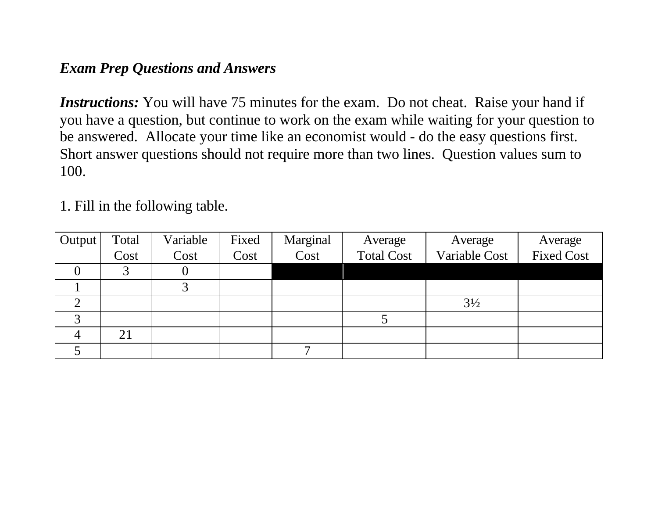## *Exam Prep Questions and Answers*

*Instructions:* You will have 75 minutes for the exam. Do not cheat. Raise your hand if you have a question, but continue to work on the exam while waiting for your question to be answered. Allocate your time like an economist would - do the easy questions first. Short answer questions should not require more than two lines. Question values sum to 100.

1. Fill in the following table.

| Output | Total | Variable | Fixed | Marginal | Average           | Average        | Average           |
|--------|-------|----------|-------|----------|-------------------|----------------|-------------------|
|        | Cost  | Cost     | Cost  | Cost     | <b>Total Cost</b> | Variable Cost  | <b>Fixed Cost</b> |
|        |       |          |       |          |                   |                |                   |
|        |       |          |       |          |                   |                |                   |
|        |       |          |       |          |                   | $3\frac{1}{2}$ |                   |
| ⌒      |       |          |       |          |                   |                |                   |
|        | 21    |          |       |          |                   |                |                   |
|        |       |          |       |          |                   |                |                   |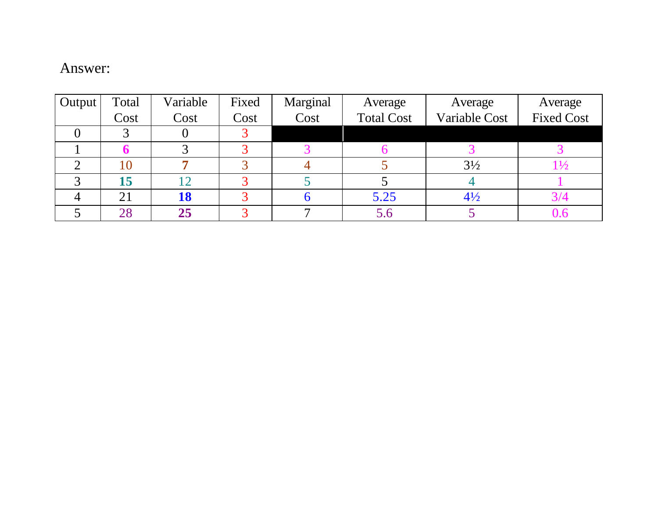## Answer:

| Output | Total | Variable | Fixed | Marginal | Average           | Average        | Average           |
|--------|-------|----------|-------|----------|-------------------|----------------|-------------------|
|        | Cost  | Cost     | Cost  | Cost     | <b>Total Cost</b> | Variable Cost  | <b>Fixed Cost</b> |
|        |       |          |       |          |                   |                |                   |
|        |       |          |       |          |                   |                |                   |
|        | 10    |          |       |          |                   | $3\frac{1}{2}$ |                   |
|        | 15    |          |       |          |                   |                |                   |
|        | 21    | 18       |       |          | 5.25              | $4\frac{1}{2}$ |                   |
|        | 28    | 25       |       |          |                   |                |                   |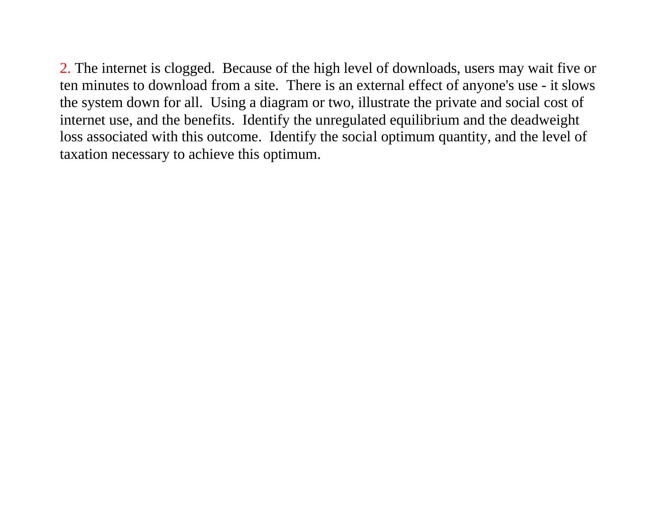2. The internet is clogged. Because of the high level of downloads, users may wait five or ten minutes to download from a site. There is an external effect of anyone's use - it slows the system down for all. Using a diagram or two, illustrate the private and social cost of internet use, and the benefits. Identify the unregulated equilibrium and the deadweight loss associated with this outcome. Identify the social optimum quantity, and the level of taxation necessary to achieve this optimum.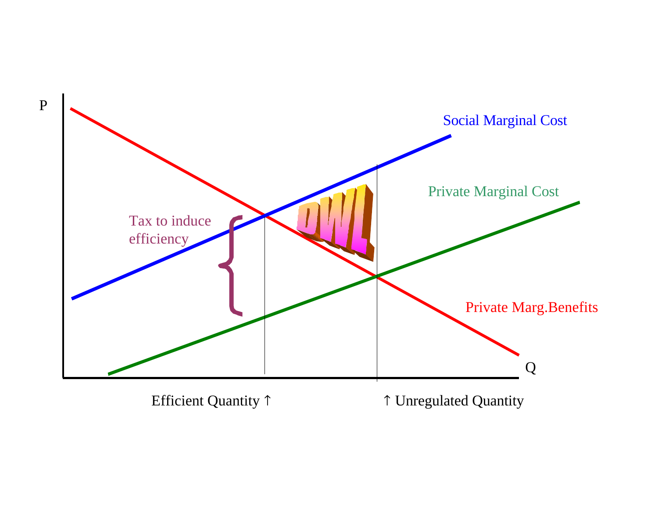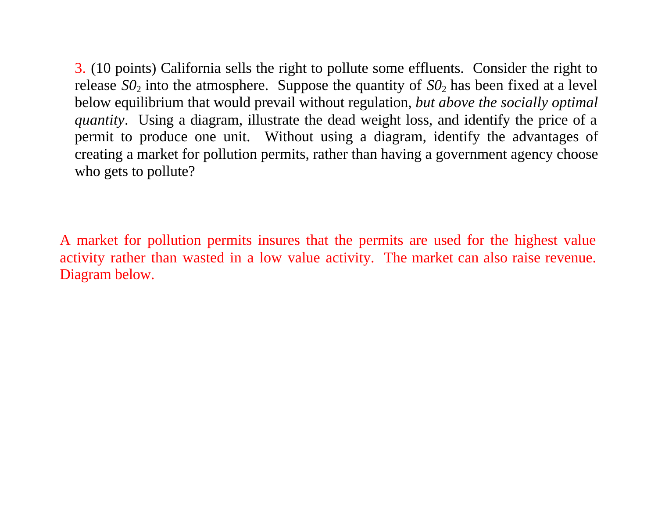3. (10 points) California sells the right to pollute some effluents. Consider the right to release  $SO_2$  into the atmosphere. Suppose the quantity of  $SO_2$  has been fixed at a level below equilibrium that would prevail without regulation, *but above the socially optimal quantity*. Using a diagram, illustrate the dead weight loss, and identify the price of a permit to produce one unit. Without using a diagram, identify the advantages of creating a market for pollution permits, rather than having a government agency choose who gets to pollute?

A market for pollution permits insures that the permits are used for the highest value activity rather than wasted in a low value activity. The market can also raise revenue. Diagram below.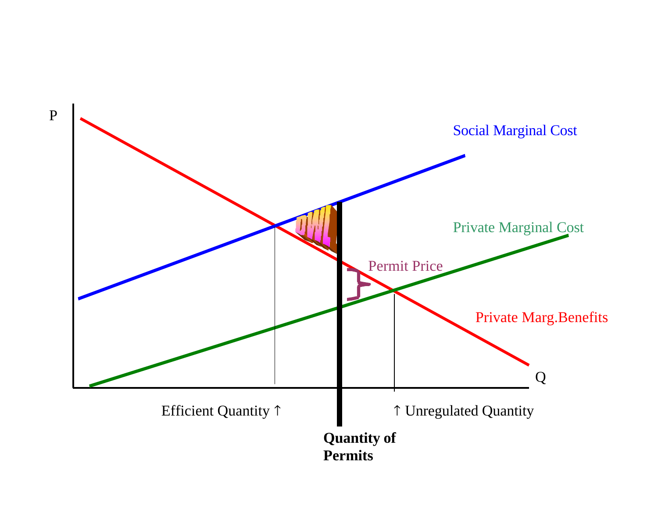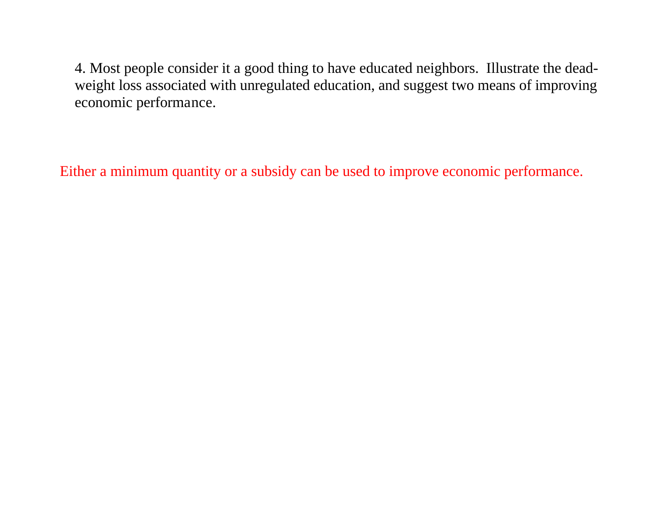4. Most people consider it a good thing to have educated neighbors. Illustrate the deadweight loss associated with unregulated education, and suggest two means of improving economic performance.

Either a minimum quantity or a subsidy can be used to improve economic performance.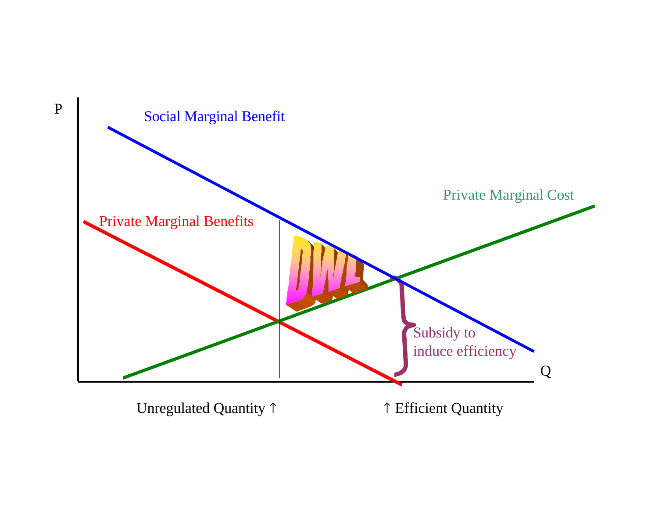

Unregulated Quantity  $\uparrow$   $\uparrow$  Efficient Quantity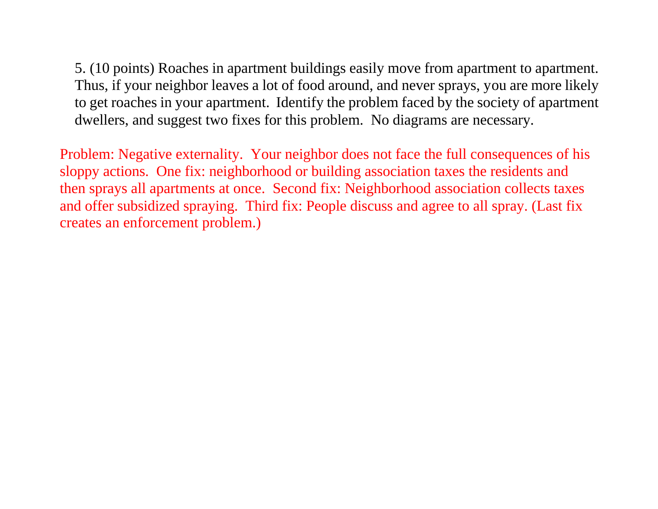5. (10 points) Roaches in apartment buildings easily move from apartment to apartment. Thus, if your neighbor leaves a lot of food around, and never sprays, you are more likely to get roaches in your apartment. Identify the problem faced by the society of apartment dwellers, and suggest two fixes for this problem. No diagrams are necessary.

Problem: Negative externality. Your neighbor does not face the full consequences of his sloppy actions. One fix: neighborhood or building association taxes the residents and then sprays all apartments at once. Second fix: Neighborhood association collects taxes and offer subsidized spraying. Third fix: People discuss and agree to all spray. (Last fix creates an enforcement problem.)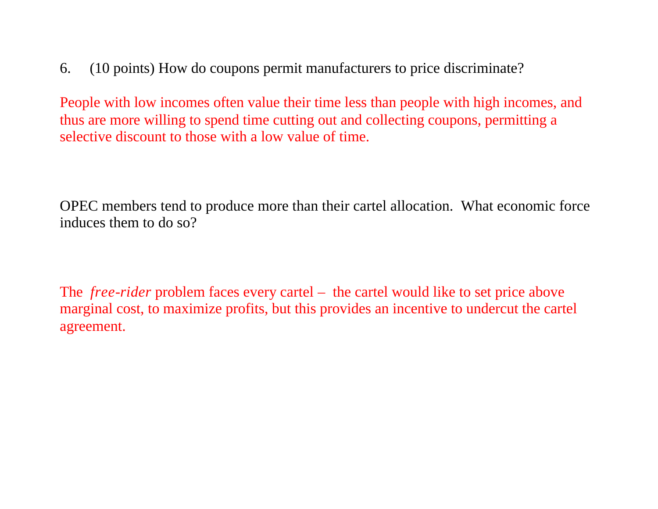6. (10 points) How do coupons permit manufacturers to price discriminate?

People with low incomes often value their time less than people with high incomes, and thus are more willing to spend time cutting out and collecting coupons, permitting a selective discount to those with a low value of time.

OPEC members tend to produce more than their cartel allocation. What economic force induces them to do so?

The *free-rider* problem faces every cartel – the cartel would like to set price above marginal cost, to maximize profits, but this provides an incentive to undercut the cartel agreement.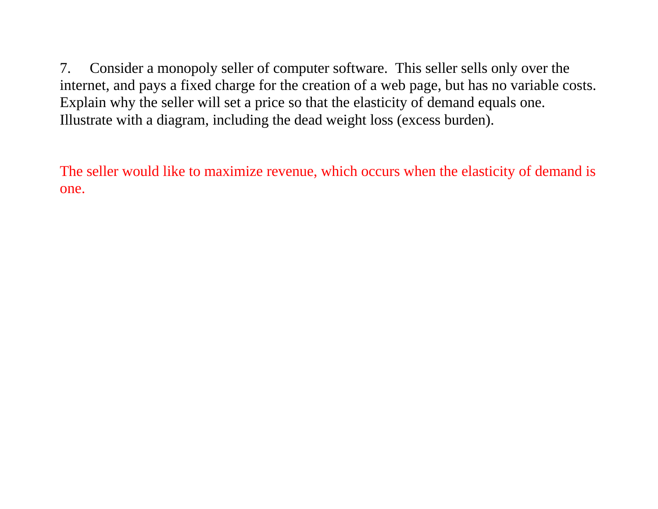7. Consider a monopoly seller of computer software. This seller sells only over the internet, and pays a fixed charge for the creation of a web page, but has no variable costs. Explain why the seller will set a price so that the elasticity of demand equals one. Illustrate with a diagram, including the dead weight loss (excess burden).

The seller would like to maximize revenue, which occurs when the elasticity of demand is one.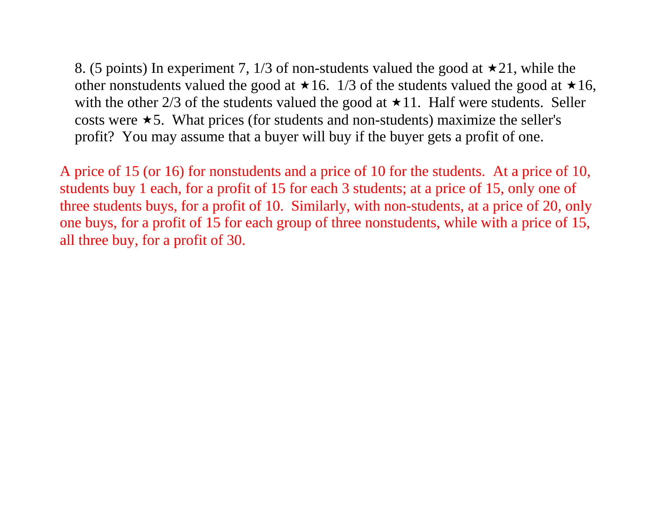8. (5 points) In experiment 7, 1/3 of non-students valued the good at  $\star$ 21, while the other nonstudents valued the good at  $\star 16$ . 1/3 of the students valued the good at  $\star 16$ , with the other 2/3 of the students valued the good at  $\star$  11. Half were students. Seller costs were  $\star$  5. What prices (for students and non-students) maximize the seller's profit? You may assume that a buyer will buy if the buyer gets a profit of one.

A price of 15 (or 16) for nonstudents and a price of 10 for the students. At a price of 10, students buy 1 each, for a profit of 15 for each 3 students; at a price of 15, only one of three students buys, for a profit of 10. Similarly, with non-students, at a price of 20, only one buys, for a profit of 15 for each group of three nonstudents, while with a price of 15, all three buy, for a profit of 30.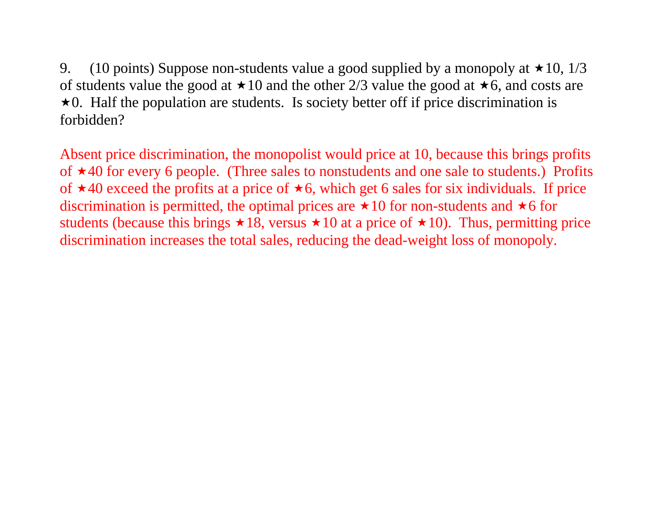9. (10 points) Suppose non-students value a good supplied by a monopoly at  $\star$  10, 1/3 of students value the good at  $\star 10$  and the other 2/3 value the good at  $\star 6$ , and costs are  $\star$ 0. Half the population are students. Is society better off if price discrimination is forbidden?

Absent price discrimination, the monopolist would price at 10, because this brings profits of  $\star$ 40 for every 6 people. (Three sales to nonstudents and one sale to students.) Profits of  $\star$ 40 exceed the profits at a price of  $\star$ 6, which get 6 sales for six individuals. If price discrimination is permitted, the optimal prices are  $\star 10$  for non-students and  $\star 6$  for students (because this brings  $\star 18$ , versus  $\star 10$  at a price of  $\star 10$ ). Thus, permitting price discrimination increases the total sales, reducing the dead-weight loss of monopoly.